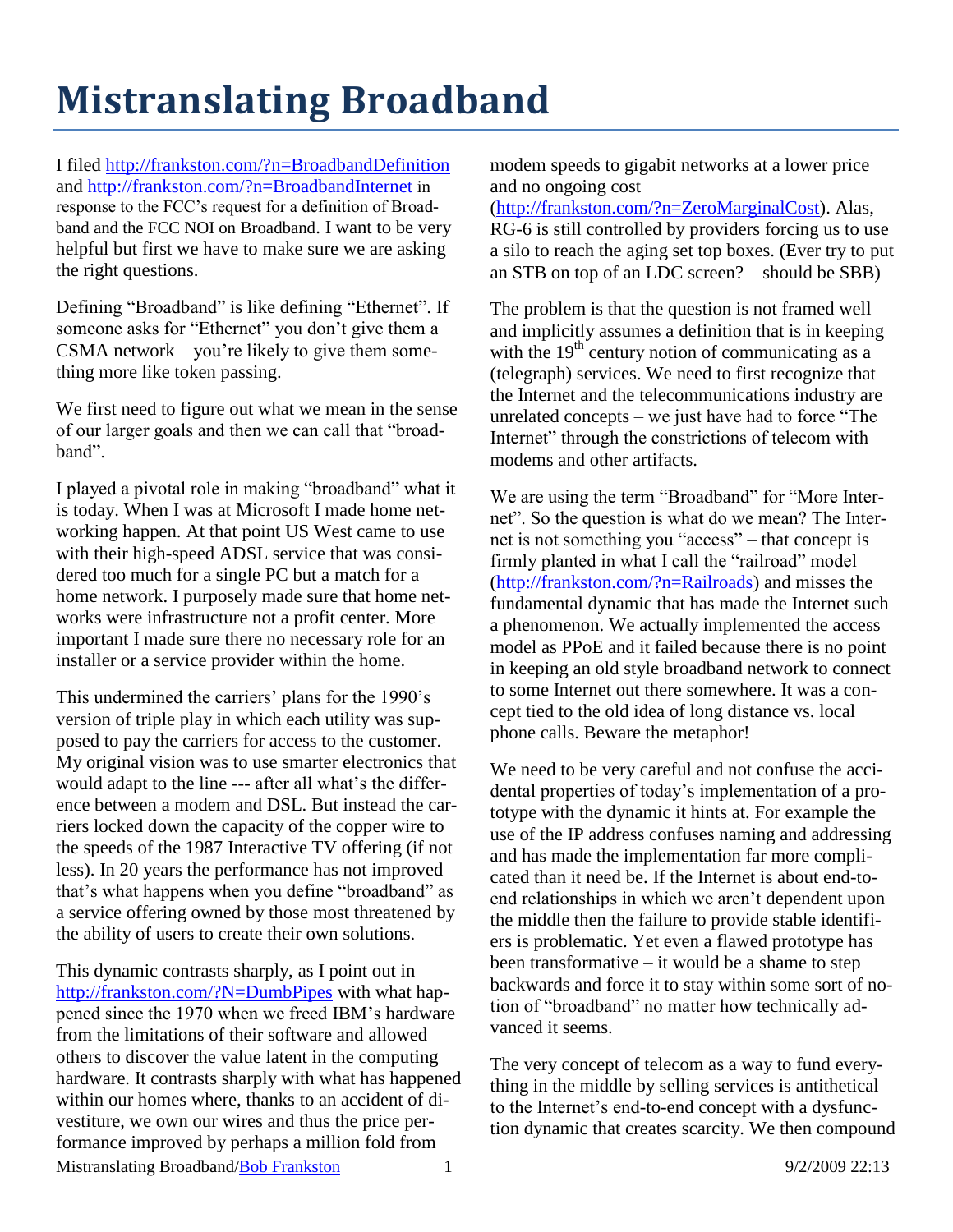## **Mistranslating Broadband**

I filed<http://frankston.com/?n=BroadbandDefinition> and<http://frankston.com/?n=BroadbandInternet> in response to the FCC's request for a definition of Broadband and the FCC NOI on Broadband. I want to be very helpful but first we have to make sure we are asking the right questions.

Defining "Broadband" is like defining "Ethernet". If someone asks for "Ethernet" you don't give them a CSMA network – you're likely to give them something more like token passing.

We first need to figure out what we mean in the sense of our larger goals and then we can call that "broadband".

I played a pivotal role in making "broadband" what it is today. When I was at Microsoft I made home networking happen. At that point US West came to use with their high-speed ADSL service that was considered too much for a single PC but a match for a home network. I purposely made sure that home networks were infrastructure not a profit center. More important I made sure there no necessary role for an installer or a service provider within the home.

This undermined the carriers' plans for the 1990's version of triple play in which each utility was supposed to pay the carriers for access to the customer. My original vision was to use smarter electronics that would adapt to the line --- after all what's the difference between a modem and DSL. But instead the carriers locked down the capacity of the copper wire to the speeds of the 1987 Interactive TV offering (if not less). In 20 years the performance has not improved – that's what happens when you define "broadband" as a service offering owned by those most threatened by the ability of users to create their own solutions.

Mistranslating Broadband/**Bob Frankston** 1 9/2/2009 22:13 This dynamic contrasts sharply, as I point out in <http://frankston.com/?N=DumbPipes> with what happened since the 1970 when we freed IBM's hardware from the limitations of their software and allowed others to discover the value latent in the computing hardware. It contrasts sharply with what has happened within our homes where, thanks to an accident of divestiture, we own our wires and thus the price performance improved by perhaps a million fold from

modem speeds to gigabit networks at a lower price and no ongoing cost

[\(http://frankston.com/?n=ZeroMarginalCost\)](http://frankston.com/?n=ZeroMarginalCost). Alas, RG-6 is still controlled by providers forcing us to use a silo to reach the aging set top boxes. (Ever try to put an STB on top of an LDC screen? – should be SBB)

The problem is that the question is not framed well and implicitly assumes a definition that is in keeping with the  $19<sup>th</sup>$  century notion of communicating as a (telegraph) services. We need to first recognize that the Internet and the telecommunications industry are unrelated concepts – we just have had to force "The Internet" through the constrictions of telecom with modems and other artifacts.

We are using the term "Broadband" for "More Internet". So the question is what do we mean? The Internet is not something you "access" – that concept is firmly planted in what I call the "railroad" model [\(http://frankston.com/?n=Railroads\)](http://frankston.com/?n=Railroads) and misses the fundamental dynamic that has made the Internet such a phenomenon. We actually implemented the access model as PPoE and it failed because there is no point in keeping an old style broadband network to connect to some Internet out there somewhere. It was a concept tied to the old idea of long distance vs. local phone calls. Beware the metaphor!

We need to be very careful and not confuse the accidental properties of today's implementation of a prototype with the dynamic it hints at. For example the use of the IP address confuses naming and addressing and has made the implementation far more complicated than it need be. If the Internet is about end-toend relationships in which we aren't dependent upon the middle then the failure to provide stable identifiers is problematic. Yet even a flawed prototype has been transformative – it would be a shame to step backwards and force it to stay within some sort of notion of "broadband" no matter how technically advanced it seems.

The very concept of telecom as a way to fund everything in the middle by selling services is antithetical to the Internet's end-to-end concept with a dysfunction dynamic that creates scarcity. We then compound